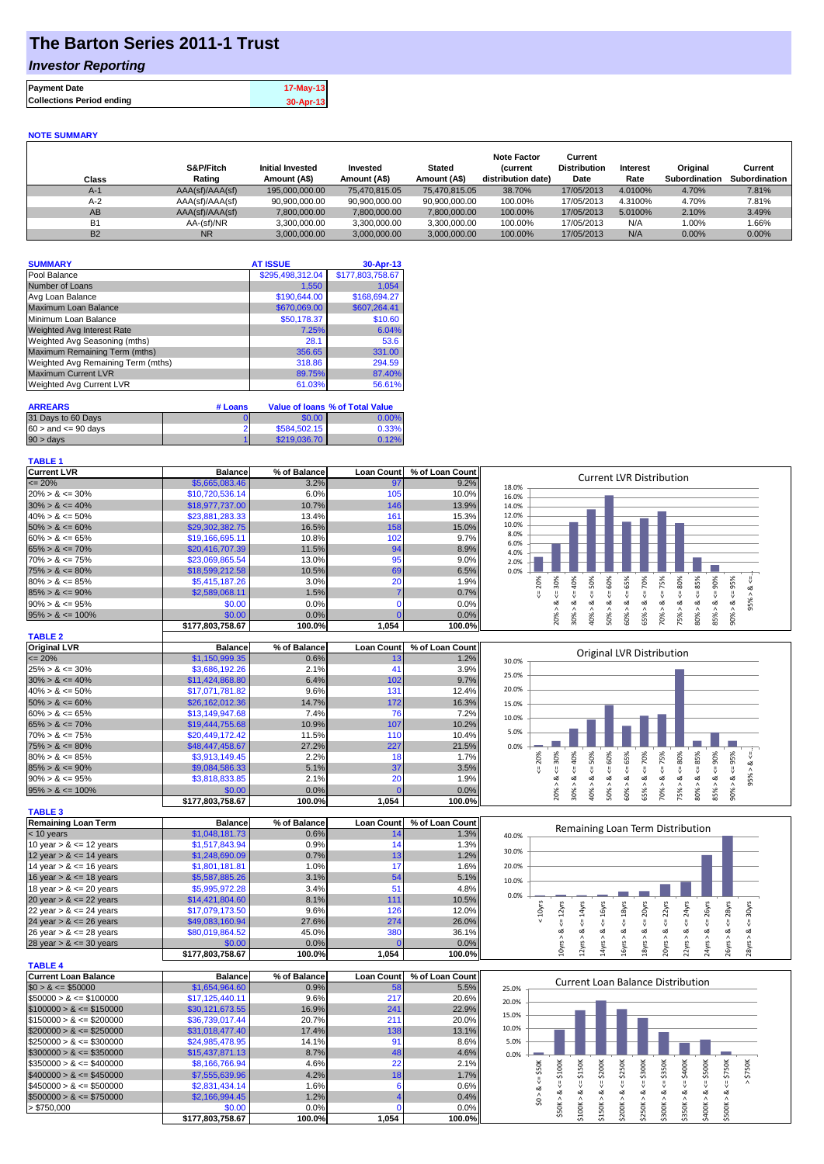# **The Barton Series 2011-1 Trust**

## *Investor Reporting*

| $17-May-13$ |
|-------------|
| 30-Apr-13   |
|             |

#### **NOTE SUMMARY**

| Class          | S&P/Fitch<br>Rating | <b>Initial Invested</b><br>Amount (A\$) | Invested<br>Amount (A\$) | <b>Stated</b><br>Amount (A\$) | <b>Note Factor</b><br><b>Current</b><br>distribution date) | Current<br><b>Distribution</b><br>Date | <b>Interest</b><br>Rate | Original<br>Subordination | Current<br><b>Subordination</b> |
|----------------|---------------------|-----------------------------------------|--------------------------|-------------------------------|------------------------------------------------------------|----------------------------------------|-------------------------|---------------------------|---------------------------------|
| $A-1$          | AAA(sf)/AAA(sf)     | 195,000,000,00                          | 75.470.815.05            | 75.470.815.05                 | 38.70%                                                     | 17/05/2013                             | 4.0100%                 | 4.70%                     | 7.81%                           |
| $A-2$          | AAA(sf)/AAA(sf)     | 90,900,000.00                           | 90,900,000.00            | 90,900,000.00                 | 100.00%                                                    | 17/05/2013                             | 4.3100%                 | 4.70%                     | 7.81%                           |
| AB             | AAA(sf)/AAA(sf)     | 7,800,000.00                            | 7,800,000.00             | 7,800,000.00                  | 100.00%                                                    | 17/05/2013                             | 5.0100%                 | 2.10%                     | 3.49%                           |
| B <sub>1</sub> | AA-(sf)/NR          | 3.300.000.00                            | 3.300.000.00             | 3.300.000.00                  | 100.00%                                                    | 17/05/2013                             | N/A                     | 1.00%                     | 1.66%                           |
| <b>B2</b>      | <b>NR</b>           | 3.000.000.00                            | 3.000.000.00             | 3.000.000.00                  | 100.00%                                                    | 17/05/2013                             | N/A                     | $0.00\%$                  | $0.00\%$                        |

| <b>SUMMARY</b>                     | <b>AT ISSUE</b>  | 30-Apr-13        |
|------------------------------------|------------------|------------------|
| Pool Balance                       | \$295,498,312.04 | \$177,803,758.67 |
| Number of Loans                    | 1,550            | 1,054            |
| Avg Loan Balance                   | \$190,644.00     | \$168,694.27     |
| Maximum Loan Balance               | \$670,069.00     | \$607,264.41     |
| Minimum Loan Balance               | \$50,178.37      | \$10.60          |
| <b>Weighted Avg Interest Rate</b>  | 7.25%            | 6.04%            |
| Weighted Avg Seasoning (mths)      | 28.1             | 53.6             |
| Maximum Remaining Term (mths)      | 356.65           | 331.00           |
| Weighted Avg Remaining Term (mths) | 318.86           | 294.59           |
| <b>Maximum Current LVR</b>         | 89.75%           | 87.40%           |
| <b>Weighted Avg Current LVR</b>    | 61.03%           | 56.61%           |

| <b>ARREARS</b>            | # Loans |              | Value of Ioans % of Total Value |
|---------------------------|---------|--------------|---------------------------------|
| 31 Days to 60 Days        |         | \$0.00       | $0.00\%$                        |
| $60 >$ and $\leq 90$ days |         | \$584,502.15 | 0.33%                           |
| $90 > \text{days}$        |         | \$219,036.70 | 0.12%                           |

### **TABLE 1**

| <b>Current LVR</b>   | <b>Balance</b>   | % of Balance | <b>Loan Count</b> | % of Loan Count | <b>Current LVR Distribution</b>                                       |
|----------------------|------------------|--------------|-------------------|-----------------|-----------------------------------------------------------------------|
| $\leq$ 20%           | \$5,665,083.46   | 3.2%         | 97                | 9.2%            | 18.0%                                                                 |
| $20\% > 8 \le 30\%$  | \$10,720,536.14  | 6.0%         | 105               | 10.0%           | 16.0%                                                                 |
| $30\% > 8 \le 40\%$  | \$18,977,737.00  | 10.7%        | 146               | 13.9%           | 14.0%                                                                 |
| $40\% > 8 \le 50\%$  | \$23,881,283.33  | 13.4%        | 161               | 15.3%           | 12.0%                                                                 |
| $50\% > 8 \le 60\%$  | \$29,302,382.75  | 16.5%        | 158               | 15.0%           | 10.0%                                                                 |
| $60\% > 8 \le 65\%$  | \$19,166,695.11  | 10.8%        | 102               | 9.7%            | 8.0%<br>6.0%                                                          |
| $65\% > 8 \le 70\%$  | \$20,416,707.39  | 11.5%        | 94                | 8.9%            | 4.0%                                                                  |
| $70\% > 8 \le 75\%$  | \$23,069,865.54  | 13.0%        | 95                | 9.0%            | 2.0%                                                                  |
| $75\% > 8 \le 80\%$  | \$18,599,212.58  | 10.5%        | 69                | 6.5%            | 0.0%                                                                  |
| $80\% > 8 \le 85\%$  | \$5,415,187.26   | 3.0%         | 20                | 1.9%            | ℅<br>g<br>Ò<br>Ř<br>ıл                                                |
| $85\% > 8 \le 90\%$  | \$2,589,068.11   | 1.5%         |                   | 0.7%            |                                                                       |
| $90\% > 8 \le 95\%$  | \$0.00           | 0.0%         |                   | 0.0%            | ∝<br>ಯ<br>∞<br>$\bar{a}$                                              |
| $95\% > 8 \le 100\%$ | \$0.00           | 0.0%         |                   | 0.0%            | 50%<br>60%<br>ŏ<br>65%<br>40%<br>ర్గ్<br>å<br>స్లే<br>eos<br>859<br>m |
|                      | \$177,803,758.67 | 100.0%       | 1,054             | 100.0%          | $\bar{N}$<br>$\overline{\phantom{0}}$                                 |
| <b>TABLE 2</b>       |                  |              |                   |                 |                                                                       |
| <b>Original LVR</b>  | <b>Balance</b>   | % of Balance | <b>Loan Count</b> | % of Loan Count | $O$ riginal IVD $D$ ictribution                                       |

| V''                  | Dalarico        | 70 VI DURING | Luan uuann       | 70 VI LUGH VUUIN |       |   |  |     |    | Original LVR Distribution |   |  |  |
|----------------------|-----------------|--------------|------------------|------------------|-------|---|--|-----|----|---------------------------|---|--|--|
| $\leq$ 20%           | \$1,150,999.35  | 0.6%         |                  | 1.2%             | 30.0% |   |  |     |    |                           |   |  |  |
| $25\% > 8 \le 30\%$  | \$3,686,192.26  | 2.1%         |                  | 3.9%             | 25.0% |   |  |     |    |                           |   |  |  |
| $30\% > 8 \le 40\%$  | \$11,424,868.80 | 6.4%         | 102              | 9.7%             |       |   |  |     |    |                           |   |  |  |
| $40\% > 8 \le 50\%$  | \$17,071,781.82 | 9.6%         | 131 <sub>1</sub> | 12.4%            | 20.0% |   |  |     |    |                           |   |  |  |
| $50\% > 8 \le 60\%$  | \$26,162,012,36 | 14.7%        | 172              | 16.3%            | 15.0% |   |  |     |    |                           |   |  |  |
| $60\% > 8 \le 65\%$  | \$13,149,947.68 | 7.4%         | 761              | 7.2%             | 10.0% |   |  |     |    |                           |   |  |  |
| $65\% > 8 \le 70\%$  | \$19,444,755.68 | 10.9%        | 107              | 10.2%            |       |   |  |     |    |                           |   |  |  |
| $70\% > 8 \le 75\%$  | \$20,449,172.42 | 11.5%        | 110              | 10.4%            | 5.0%  |   |  |     |    |                           |   |  |  |
| $75\% > 8 \le 80\%$  | \$48,447,458,67 | 27.2%        | 227              | 21.5%            | 0.0%  |   |  |     |    |                           |   |  |  |
| $80\% > 8 \le 85\%$  | \$3,913,149.45  | 2.2%         | 18.              | 1.7%             |       | ğ |  | 50% | Ū3 | Ŕ                         | Š |  |  |
| $85\% > 8 \le 90\%$  | \$9,084,586.33  | 5.1%         | 37               | 3.5%             |       |   |  |     |    |                           |   |  |  |
| $90\% > 8 \le 95\%$  | \$3.818.833.85  | 2.1%         | 20               | 1.9%             |       |   |  |     |    |                           |   |  |  |
| $95\% > 8 \le 100\%$ | \$0.00          | $0.0\%$      |                  | 0.0%             |       |   |  |     | S  |                           |   |  |  |
|                      | 0.770027007     | 100.001      | $A$ OF $A$       | $\lambda$ 00.00/ |       |   |  |     |    |                           |   |  |  |

| $95\% > 8 \le 100\%$       | \$0.00           | 0.0%         | $0.0\%$           |                 |  |  |
|----------------------------|------------------|--------------|-------------------|-----------------|--|--|
|                            | \$177,803,758.67 | 100.0%       | 1,054             | 100.0%          |  |  |
| <b>TABLE 3</b>             |                  |              |                   |                 |  |  |
| <b>Remaining Loan Term</b> | <b>Balance</b>   | % of Balance | <b>Loan Count</b> | % of Loan Count |  |  |
| $< 10$ years               | \$1,048,181.73   | 0.6%         | 14                | 1.3%            |  |  |
| 10 year $> 8 \le 12$ years | \$1,517,843.94   | 0.9%         | 14                | 1.3%            |  |  |
| 12 year $> 8 \le 14$ years | \$1,248,690.09   | 0.7%         | 13                | 1.2%            |  |  |
| 14 year $> 8 \le 16$ years | \$1,801,181.81   | 1.0%         | 17                | 1.6%            |  |  |
| 16 year $> 8 \le 18$ years | \$5,587,885,26   | 3.1%         | 54                | 5.1%            |  |  |
| 18 year $> 8 \le 20$ years | \$5,995,972.28   | 3.4%         | 51                | 4.8%            |  |  |
| 20 year $> 8 \le 22$ years | \$14,421,804.60  | 8.1%         | 111               | 10.5%           |  |  |
| 22 year $> 8 \le 24$ years | \$17,079,173.50  | 9.6%         | 126               | 12.0%           |  |  |
| 24 year $> 8 \le 26$ years | \$49,083,160.94  | 27.6%        | 274               | 26.0%           |  |  |
| 26 year $> 8 \le 28$ years | \$80,019,864.52  | 45.0%        | 380               | 36.1%           |  |  |
| 28 year $> 8 \le 30$ years | \$0.00           | 0.0%         |                   | 0.0%            |  |  |
|                            | \$177.803.758.67 | 100.0%       | 1.054             | 100.0%l         |  |  |

|                             | 3177,003,730.07  | 1 VV.V 70    | +CV, I            | 100.0701        |  |
|-----------------------------|------------------|--------------|-------------------|-----------------|--|
| <b>TABLE 4</b>              |                  |              |                   |                 |  |
| <b>Current Loan Balance</b> | <b>Balance</b>   | % of Balance | <b>Loan Count</b> | % of Loan Count |  |
| $$0 > 8 \leq $50000$        | \$1,654,964.60   | 0.9%         | 58                | 5.5%            |  |
| $$50000 > 8 \leq $100000$   | \$17,125,440.11  | 9.6%         | 217               | 20.6%           |  |
| $$100000 > 8 \leq $150000$  | \$30.121.673.55  | 16.9%        | 241               | 22.9%           |  |
| $$150000 > 8 \leq $200000$  | \$36,739,017.44  | 20.7%        | 211               | 20.0%           |  |
| $$200000 > 8 \leq $250000$  | \$31,018,477.40  | 17.4%        | 138               | 13.1%           |  |
| $$250000 > 8 \leq $300000$  | \$24,985,478,95  | 14.1%        | 91                | 8.6%            |  |
| $$300000 > 8 \leq $350000$  | \$15,437,871.13  | 8.7%         | 48                | 4.6%            |  |
| $$350000 > 8 \leq $400000$  | \$8,166,766.94   | 4.6%         | 22                | 2.1%            |  |
| $$400000 > 8 \leq $450000$  | \$7,555,639,96   | 4.2%         | 18                | 1.7%            |  |
| $$450000 > 8 \leq $500000$  | \$2,831,434.14   | 1.6%         | ิค                | $0.6\%$         |  |
| $$500000 > 8 \leq $750000$  | \$2,166,994.45   | 1.2%         |                   | 0.4%            |  |
| > \$750.000                 | \$0.00           | 0.0%         |                   | $0.0\%$         |  |
|                             | \$177.803.758.67 | 100.0%       | 1.054             | 100.0%l         |  |